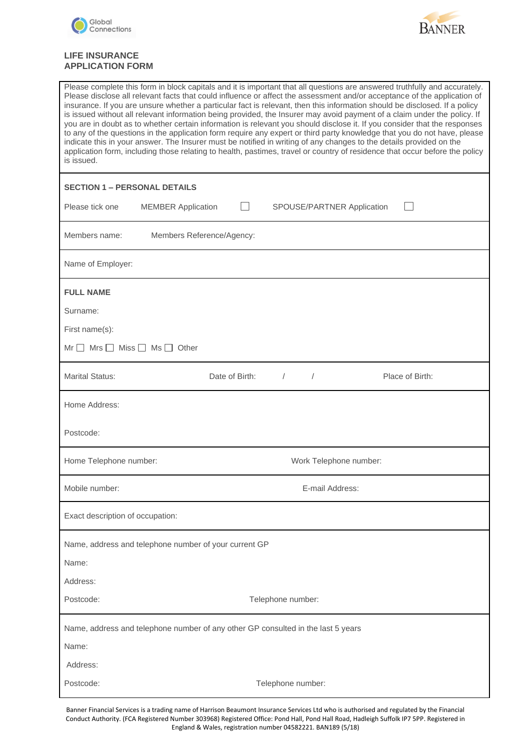



# **LIFE INSURANCE APPLICATION FORM**

| Please complete this form in block capitals and it is important that all questions are answered truthfully and accurately.<br>Please disclose all relevant facts that could influence or affect the assessment and/or acceptance of the application of<br>insurance. If you are unsure whether a particular fact is relevant, then this information should be disclosed. If a policy<br>is issued without all relevant information being provided, the Insurer may avoid payment of a claim under the policy. If<br>you are in doubt as to whether certain information is relevant you should disclose it. If you consider that the responses<br>to any of the questions in the application form require any expert or third party knowledge that you do not have, please<br>indicate this in your answer. The Insurer must be notified in writing of any changes to the details provided on the<br>application form, including those relating to health, pastimes, travel or country of residence that occur before the policy<br>is issued. |
|-----------------------------------------------------------------------------------------------------------------------------------------------------------------------------------------------------------------------------------------------------------------------------------------------------------------------------------------------------------------------------------------------------------------------------------------------------------------------------------------------------------------------------------------------------------------------------------------------------------------------------------------------------------------------------------------------------------------------------------------------------------------------------------------------------------------------------------------------------------------------------------------------------------------------------------------------------------------------------------------------------------------------------------------------|
| <b>SECTION 1 – PERSONAL DETAILS</b>                                                                                                                                                                                                                                                                                                                                                                                                                                                                                                                                                                                                                                                                                                                                                                                                                                                                                                                                                                                                           |
| Please tick one<br><b>MEMBER Application</b><br>SPOUSE/PARTNER Application                                                                                                                                                                                                                                                                                                                                                                                                                                                                                                                                                                                                                                                                                                                                                                                                                                                                                                                                                                    |
| Members name:<br>Members Reference/Agency:                                                                                                                                                                                                                                                                                                                                                                                                                                                                                                                                                                                                                                                                                                                                                                                                                                                                                                                                                                                                    |
| Name of Employer:                                                                                                                                                                                                                                                                                                                                                                                                                                                                                                                                                                                                                                                                                                                                                                                                                                                                                                                                                                                                                             |
| <b>FULL NAME</b>                                                                                                                                                                                                                                                                                                                                                                                                                                                                                                                                                                                                                                                                                                                                                                                                                                                                                                                                                                                                                              |
| Surname:                                                                                                                                                                                                                                                                                                                                                                                                                                                                                                                                                                                                                                                                                                                                                                                                                                                                                                                                                                                                                                      |
| First name(s):                                                                                                                                                                                                                                                                                                                                                                                                                                                                                                                                                                                                                                                                                                                                                                                                                                                                                                                                                                                                                                |
| $Mr \tMrs \tMiss \tMss$ Ms $\td$ Other                                                                                                                                                                                                                                                                                                                                                                                                                                                                                                                                                                                                                                                                                                                                                                                                                                                                                                                                                                                                        |
| <b>Marital Status:</b><br>Date of Birth:<br>Place of Birth:<br>$\sqrt{2}$                                                                                                                                                                                                                                                                                                                                                                                                                                                                                                                                                                                                                                                                                                                                                                                                                                                                                                                                                                     |
| Home Address:                                                                                                                                                                                                                                                                                                                                                                                                                                                                                                                                                                                                                                                                                                                                                                                                                                                                                                                                                                                                                                 |
| Postcode:                                                                                                                                                                                                                                                                                                                                                                                                                                                                                                                                                                                                                                                                                                                                                                                                                                                                                                                                                                                                                                     |
| Work Telephone number:<br>Home Telephone number:                                                                                                                                                                                                                                                                                                                                                                                                                                                                                                                                                                                                                                                                                                                                                                                                                                                                                                                                                                                              |
| Mobile number:<br>E-mail Address:                                                                                                                                                                                                                                                                                                                                                                                                                                                                                                                                                                                                                                                                                                                                                                                                                                                                                                                                                                                                             |
| Exact description of occupation:                                                                                                                                                                                                                                                                                                                                                                                                                                                                                                                                                                                                                                                                                                                                                                                                                                                                                                                                                                                                              |
| Name, address and telephone number of your current GP                                                                                                                                                                                                                                                                                                                                                                                                                                                                                                                                                                                                                                                                                                                                                                                                                                                                                                                                                                                         |
| Name:                                                                                                                                                                                                                                                                                                                                                                                                                                                                                                                                                                                                                                                                                                                                                                                                                                                                                                                                                                                                                                         |
| Address:                                                                                                                                                                                                                                                                                                                                                                                                                                                                                                                                                                                                                                                                                                                                                                                                                                                                                                                                                                                                                                      |
| Postcode:<br>Telephone number:                                                                                                                                                                                                                                                                                                                                                                                                                                                                                                                                                                                                                                                                                                                                                                                                                                                                                                                                                                                                                |
| Name, address and telephone number of any other GP consulted in the last 5 years                                                                                                                                                                                                                                                                                                                                                                                                                                                                                                                                                                                                                                                                                                                                                                                                                                                                                                                                                              |
|                                                                                                                                                                                                                                                                                                                                                                                                                                                                                                                                                                                                                                                                                                                                                                                                                                                                                                                                                                                                                                               |
| Name:                                                                                                                                                                                                                                                                                                                                                                                                                                                                                                                                                                                                                                                                                                                                                                                                                                                                                                                                                                                                                                         |
| Address:                                                                                                                                                                                                                                                                                                                                                                                                                                                                                                                                                                                                                                                                                                                                                                                                                                                                                                                                                                                                                                      |

Banner Financial Services is a trading name of Harrison Beaumont Insurance Services Ltd who is authorised and regulated by the Financial Conduct Authority. (FCA Registered Number 303968) Registered Office: Pond Hall, Pond Hall Road, Hadleigh Suffolk IP7 5PP. Registered in England & Wales, registration number 04582221. BAN189 (5/18)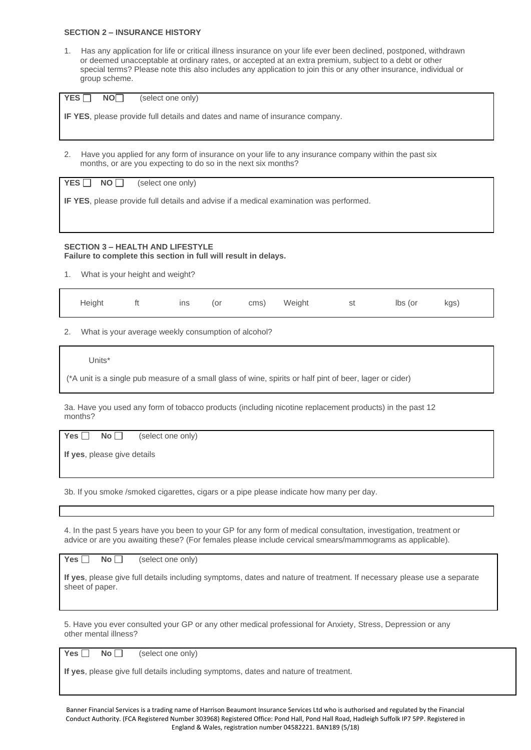#### **SECTION 2 – INSURANCE HISTORY**

1. Has any application for life or critical illness insurance on your life ever been declined, postponed, withdrawn or deemed unacceptable at ordinary rates, or accepted at an extra premium, subject to a debt or other special terms? Please note this also includes any application to join this or any other insurance, individual or group scheme.

| YES <sup>[</sup><br>NO <sub>1</sub><br>(select one only)                                                                                                                    |  |  |  |  |  |  |  |
|-----------------------------------------------------------------------------------------------------------------------------------------------------------------------------|--|--|--|--|--|--|--|
| <b>IF YES</b> , please provide full details and dates and name of insurance company.                                                                                        |  |  |  |  |  |  |  |
|                                                                                                                                                                             |  |  |  |  |  |  |  |
| Have you applied for any form of insurance on your life to any insurance company within the past six<br>2.<br>months, or are you expecting to do so in the next six months? |  |  |  |  |  |  |  |
| YES<br>(select one only)<br>NO I I                                                                                                                                          |  |  |  |  |  |  |  |
| <b>IF YES</b> , please provide full details and advise if a medical examination was performed.                                                                              |  |  |  |  |  |  |  |

### **SECTION 3 – HEALTH AND LIFESTYLE Failure to complete this section in full will result in delays.**

1. What is your height and weight?

| Height | ΠĻ | ins | (or | cms) | Weight | st | lbs (or | kgs) |  |
|--------|----|-----|-----|------|--------|----|---------|------|--|
|        |    |     |     |      |        |    |         |      |  |

2. What is your average weekly consumption of alcohol?

Units\*

(\*A unit is a single pub measure of a small glass of wine, spirits or half pint of beer, lager or cider)

3a. Have you used any form of tobacco products (including nicotine replacement products) in the past 12 months?

Yes **No No (**select one only)

**If yes**, please give details

3b. If you smoke /smoked cigarettes, cigars or a pipe please indicate how many per day.

4. In the past 5 years have you been to your GP for any form of medical consultation, investigation, treatment or advice or are you awaiting these? (For females please include cervical smears/mammograms as applicable).

Yes **No No** (select one only)

**If yes**, please give full details including symptoms, dates and nature of treatment. If necessary please use a separate sheet of paper.

5. Have you ever consulted your GP or any other medical professional for Anxiety, Stress, Depression or any other mental illness?

Yes **No No** (select one only)

**If yes**, please give full details including symptoms, dates and nature of treatment.

Banner Financial Services is a trading name of Harrison Beaumont Insurance Services Ltd who is authorised and regulated by the Financial Conduct Authority. (FCA Registered Number 303968) Registered Office: Pond Hall, Pond Hall Road, Hadleigh Suffolk IP7 5PP. Registered in England & Wales, registration number 04582221. BAN189 (5/18)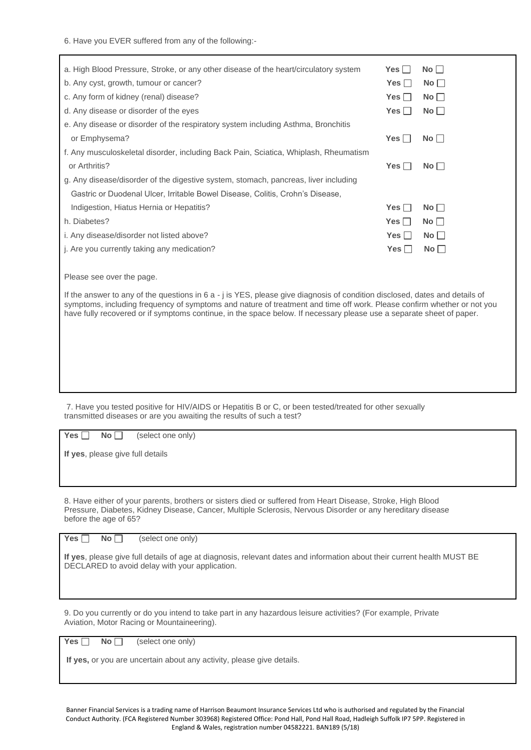6. Have you EVER suffered from any of the following:-

| a. High Blood Pressure, Stroke, or any other disease of the heart/circulatory system | $Yes \Box$ | No          |
|--------------------------------------------------------------------------------------|------------|-------------|
| b. Any cyst, growth, tumour or cancer?                                               | Yes $\Box$ | No          |
| c. Any form of kidney (renal) disease?                                               | Yes        | $No \Box$   |
| d. Any disease or disorder of the eyes                                               | Yes $\Box$ | No          |
| e. Any disease or disorder of the respiratory system including Asthma, Bronchitis    |            |             |
| or Emphysema?                                                                        | Yes I      | $No$ $\Box$ |
| f. Any musculoskeletal disorder, including Back Pain, Sciatica, Whiplash, Rheumatism |            |             |
| or Arthritis?                                                                        | Yes $\Box$ | $No \Box$   |
| g. Any disease/disorder of the digestive system, stomach, pancreas, liver including  |            |             |
| Gastric or Duodenal Ulcer, Irritable Bowel Disease, Colitis, Crohn's Disease,        |            |             |
| Indigestion, Hiatus Hernia or Hepatitis?                                             | $Yes \Box$ | $No \Box$   |
| h. Diabetes?                                                                         | Yes $\Box$ | $No \Box$   |
| i. Any disease/disorder not listed above?                                            | Yes $\Box$ | No          |
| j. Are you currently taking any medication?                                          | Yes $\Box$ | No          |
|                                                                                      |            |             |
| Please see over the page.                                                            |            |             |

If the answer to any of the questions in 6 a - j is YES, please give diagnosis of condition disclosed, dates and details of symptoms, including frequency of symptoms and nature of treatment and time off work. Please confirm whether or not you have fully recovered or if symptoms continue, in the space below. If necessary please use a separate sheet of paper.

7. Have you tested positive for HIV/AIDS or Hepatitis B or C, or been tested/treated for other sexually transmitted diseases or are you awaiting the results of such a test?

 $Yes \n\overline{\phantom{a}}\n$  **No**  $\overline{\phantom{a}}\n$  (select one only)

**If yes**, please give full details

8. Have either of your parents, brothers or sisters died or suffered from Heart Disease, Stroke, High Blood Pressure, Diabetes, Kidney Disease, Cancer, Multiple Sclerosis, Nervous Disorder or any hereditary disease before the age of 65?

Yes **No No (select one only)** 

**If yes**, please give full details of age at diagnosis, relevant dates and information about their current health MUST BE DECLARED to avoid delay with your application.

9. Do you currently or do you intend to take part in any hazardous leisure activities? (For example, Private Aviation, Motor Racing or Mountaineering).

Yes **No No (Select one only)** 

**If yes,** or you are uncertain about any activity, please give details.

Banner Financial Services is a trading name of Harrison Beaumont Insurance Services Ltd who is authorised and regulated by the Financial Conduct Authority. (FCA Registered Number 303968) Registered Office: Pond Hall, Pond Hall Road, Hadleigh Suffolk IP7 5PP. Registered in England & Wales, registration number 04582221. BAN189 (5/18)